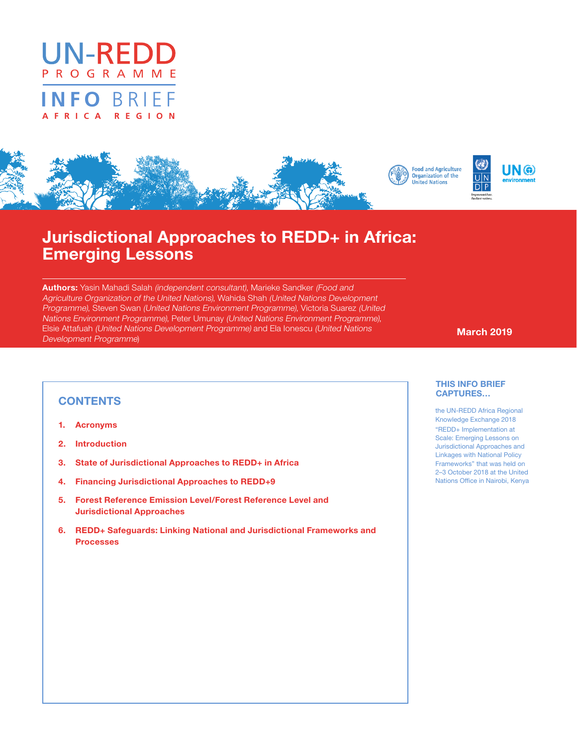



# Jurisdictional Approaches to REDD+ in Africa: Emerging Lessons

Authors: Yasin Mahadi Salah (independent consultant), Marieke Sandker (Food and Agriculture Organization of the United Nations), Wahida Shah (United Nations Development Programme), Steven Swan (United Nations Environment Programme), Victoria Suarez (United Nations Environment Programme), Peter Umunay (United Nations Environment Programme), Elsie Attafuah (United Nations Development Programme) and Ela Ionescu (United Nations **Machina de March 2019**<br>Development Programme)

# **CONTENTS**

- 1. Acronyms
- 2. Introduction
- 3. State of Jurisdictional Approaches to REDD+ in Africa
- 4. Financing Jurisdictional Approaches to REDD+9
- 5. Forest Reference Emission Level/Forest Reference Level and Jurisdictional Approaches
- 6. REDD+ Safeguards: Linking National and Jurisdictional Frameworks and Processes

#### THIS INFO BRIEF CAPTURES…

the UN-REDD Africa Regional Knowledge Exchange 2018 "REDD+ Implementation at Scale: Emerging Lessons on Jurisdictional Approaches and Linkages with National Policy Frameworks" that was held on 2–3 October 2018 at the United Nations Office in Nairobi, Kenya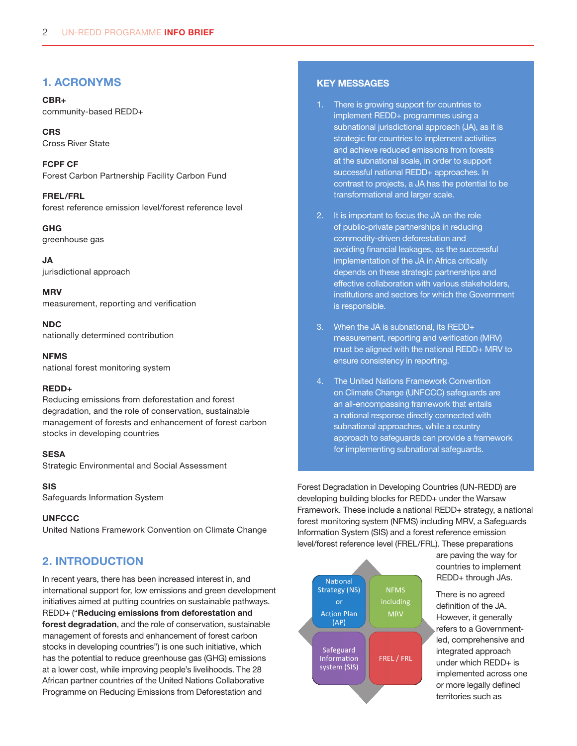# 1. ACRONYMS

CBR+ community-based REDD+

**CRS** Cross River State

FCPF CF Forest Carbon Partnership Facility Carbon Fund

FREL/FRL forest reference emission level/forest reference level

GHG greenhouse gas

JA jurisdictional approach

**MRV** measurement, reporting and verification

NDC nationally determined contribution

**NFMS** national forest monitoring system

### REDD+

Reducing emissions from deforestation and forest degradation, and the role of conservation, sustainable management of forests and enhancement of forest carbon stocks in developing countries

#### **SESA**

Strategic Environmental and Social Assessment

### SIS

Safeguards Information System

### **UNFCCC**

United Nations Framework Convention on Climate Change

# 2. INTRODUCTION

In recent years, there has been increased interest in, and international support for, low emissions and green development initiatives aimed at putting countries on sustainable pathways. REDD+ ("Reducing emissions from deforestation and forest degradation, and the role of conservation, sustainable management of forests and enhancement of forest carbon stocks in developing countries") is one such initiative, which has the potential to reduce greenhouse gas (GHG) emissions at a lower cost, while improving people's livelihoods. The 28 African partner countries of the United Nations Collaborative Programme on Reducing Emissions from Deforestation and

# KEY MESSAGES

- 1. There is growing support for countries to implement REDD+ programmes using a subnational jurisdictional approach (JA), as it is strategic for countries to implement activities and achieve reduced emissions from forests at the subnational scale, in order to support successful national REDD+ approaches. In contrast to projects, a JA has the potential to be transformational and larger scale.
- 2. It is important to focus the JA on the role of public-private partnerships in reducing commodity-driven deforestation and avoiding financial leakages, as the successful implementation of the JA in Africa critically depends on these strategic partnerships and effective collaboration with various stakeholders, institutions and sectors for which the Government is responsible.
- 3. When the JA is subnational, its REDD+ measurement, reporting and verification (MRV) must be aligned with the national REDD+ MRV to ensure consistency in reporting.
- 4. The United Nations Framework Convention on Climate Change (UNFCCC) safeguards are an all-encompassing framework that entails a national response directly connected with subnational approaches, while a country approach to safeguards can provide a framework for implementing subnational safeguards.

Forest Degradation in Developing Countries (UN-REDD) are developing building blocks for REDD+ under the Warsaw Framework. These include a national REDD+ strategy, a national forest monitoring system (NFMS) including MRV, a Safeguards Information System (SIS) and a forest reference emission level/forest reference level (FREL/FRL). These preparations



are paving the way for countries to implement REDD+ through JAs.

There is no agreed definition of the JA. However, it generally refers to a Governmentled, comprehensive and integrated approach under which REDD+ is implemented across one or more legally defined territories such as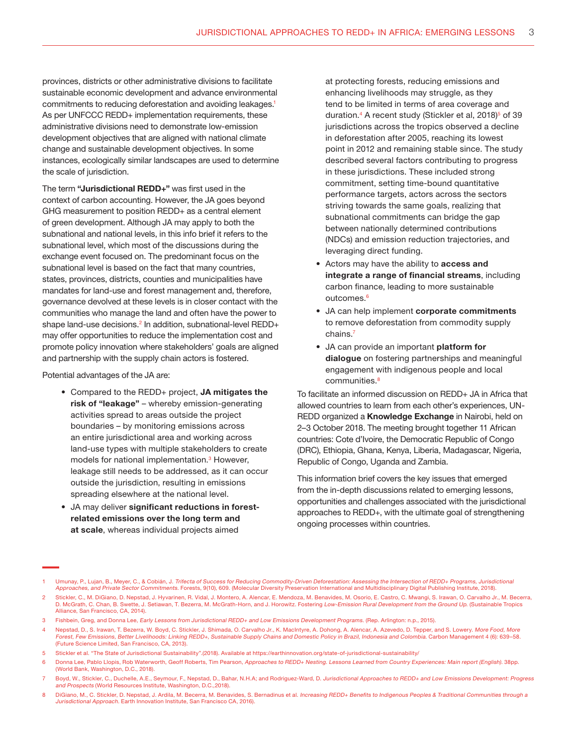provinces, districts or other administrative divisions to facilitate sustainable economic development and advance environmental commitments to reducing deforestation and avoiding leakages.<sup>1</sup> As per UNFCCC REDD+ implementation requirements, these administrative divisions need to demonstrate low-emission development objectives that are aligned with national climate change and sustainable development objectives. In some instances, ecologically similar landscapes are used to determine the scale of jurisdiction.

The term "Jurisdictional REDD+" was first used in the context of carbon accounting. However, the JA goes beyond GHG measurement to position REDD+ as a central element of green development. Although JA may apply to both the subnational and national levels, in this info brief it refers to the subnational level, which most of the discussions during the exchange event focused on. The predominant focus on the subnational level is based on the fact that many countries, states, provinces, districts, counties and municipalities have mandates for land-use and forest management and, therefore, governance devolved at these levels is in closer contact with the communities who manage the land and often have the power to shape land-use decisions.<sup>2</sup> In addition, subnational-level REDD+ may offer opportunities to reduce the implementation cost and promote policy innovation where stakeholders' goals are aligned and partnership with the supply chain actors is fostered.

Potential advantages of the JA are:

- Compared to the REDD+ project, JA mitigates the risk of "leakage" – whereby emission-generating activities spread to areas outside the project boundaries – by monitoring emissions across an entire jurisdictional area and working across land-use types with multiple stakeholders to create models for national implementation.<sup>3</sup> However, leakage still needs to be addressed, as it can occur outside the jurisdiction, resulting in emissions spreading elsewhere at the national level.
- JA may deliver significant reductions in forestrelated emissions over the long term and at scale, whereas individual projects aimed

at protecting forests, reducing emissions and enhancing livelihoods may struggle, as they tend to be limited in terms of area coverage and duration.<sup>4</sup> A recent study (Stickler et al, 2018)<sup>5</sup> of 39 jurisdictions across the tropics observed a decline in deforestation after 2005, reaching its lowest point in 2012 and remaining stable since. The study described several factors contributing to progress in these jurisdictions. These included strong commitment, setting time-bound quantitative performance targets, actors across the sectors striving towards the same goals, realizing that subnational commitments can bridge the gap between nationally determined contributions (NDCs) and emission reduction trajectories, and leveraging direct funding.

- Actors may have the ability to access and integrate a range of financial streams, including carbon finance, leading to more sustainable outcomes.<sup>6</sup>
- JA can help implement corporate commitments to remove deforestation from commodity supply chains.7
- JA can provide an important platform for dialogue on fostering partnerships and meaningful engagement with indigenous people and local communities.<sup>8</sup>

To facilitate an informed discussion on REDD+ JA in Africa that allowed countries to learn from each other's experiences, UN-REDD organized a Knowledge Exchange in Nairobi, held on 2–3 October 2018. The meeting brought together 11 African countries: Cote d'Ivoire, the Democratic Republic of Congo (DRC), Ethiopia, Ghana, Kenya, Liberia, Madagascar, Nigeria, Republic of Congo, Uganda and Zambia.

This information brief covers the key issues that emerged from the in-depth discussions related to emerging lessons, opportunities and challenges associated with the jurisdictional approaches to REDD+, with the ultimate goal of strengthening ongoing processes within countries.

Umunay, P., Lujan, B., Meyer, C., & Cobián, J. Trifecta of Success for Reducing Commodity-Driven Deforestation: Assessing the Intersection of REDD+ Programs, Jurisdictional Approaches, and Private Sector Commitments. Forests, 9(10), 609. (Molecular Diversity Preservation International and Multidisciplinary Digital Publishing Institute, 2018).

<sup>2</sup> Stickler, C., M. DiGiano, D. Nepstad, J. Hyvarinen, R. Vidal, J. Montero, A. Alencar, E. Mendoza, M. Benavides, M. Osorio, E. Castro, C. Mwangi, S. Irawan, O. Carvalho Jr., M. Becerra, D. McGrath, C. Chan, B. Swette, J. Setiawan, T. Bezerra, M. McGrath-Horn, and J. Horowitz. Fostering Low-Emission Rural Development from the Ground Up. (Sustainable Tropics Alliance, San Francisco, CA, 2014).

<sup>3</sup> Fishbein, Greg, and Donna Lee, Early Lessons from Jurisdictional REDD+ and Low Emissions Development Programs. (Rep. Arlington: n.p., 2015).

Nepstad, D., S. Irawan, T. Bezerra, W. Boyd, C. Stickler, J. Shimada, O. Carvalho Jr., K. MacIntyre, A. Dohong, A. Alencar, A. Azevedo, D. Tepper, and S. Lowery. More Food, More Forest, Few Emissions, Better Livelihoods: Linking REDD+, Sustainable Supply Chains and Domestic Policy in Brazil, Indonesia and Colombia. Carbon Management 4 (6): 639–58. (Future Science Limited, San Francisco, CA, 2013).

<sup>5</sup> Stickler et al. "The State of Jurisdictional Sustainability".(2018). Available at https://earthinnovation.org/state-of-jurisdictional-sustainability/

<sup>6</sup> Donna Lee, Pablo Llopis, Rob Waterworth, Geoff Roberts, Tim Pearson, Approaches to REDD+ Nesting. Lessons Learned from Country Experiences: Main report (English). 38pp. (World Bank, Washington, D.C., 2018).

<sup>7</sup> Boyd, W., Stickler, C., Duchelle, A.E., Seymour, F., Nepstad, D., Bahar, N.H.A; and Rodriguez-Ward, D. Jurisdictional Approaches to REDD+ and Low Emissions Development: Progress and Prospects (World Resources Institute, Washington, D.C.,2018).

<sup>8</sup> DiGiano, M., C. Stickler, D. Nepstad, J. Ardila, M. Becerra, M. Benavides, S. Bernadinus et al. Increasing REDD+ Benefits to Indigenous Peoples & Traditional Communities through a Jurisdictional Approach. Earth Innovation Institute, San Francisco CA, 2016).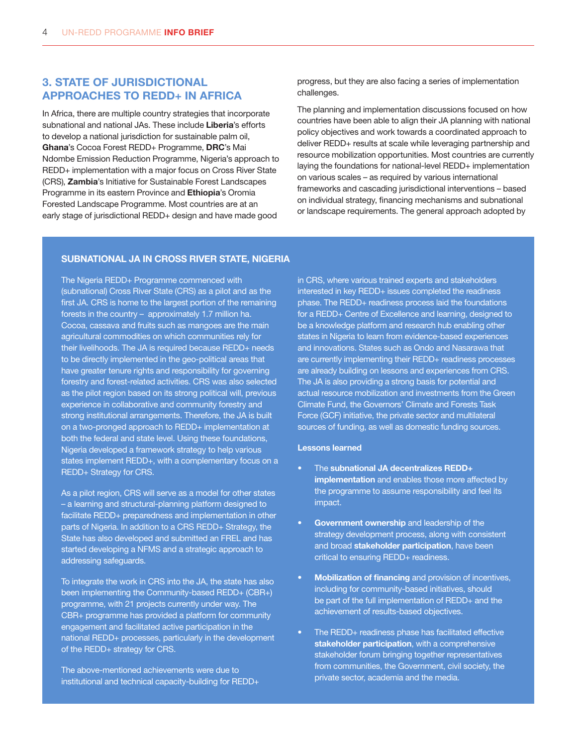# 3. STATE OF JURISDICTIONAL APPROACHES TO REDD+ IN AFRICA

In Africa, there are multiple country strategies that incorporate subnational and national JAs. These include Liberia's efforts to develop a national jurisdiction for sustainable palm oil, Ghana's Cocoa Forest REDD+ Programme, DRC's Mai Ndombe Emission Reduction Programme, Nigeria's approach to REDD+ implementation with a major focus on Cross River State (CRS), Zambia's Initiative for Sustainable Forest Landscapes Programme in its eastern Province and **Ethiopia**'s Oromia Forested Landscape Programme. Most countries are at an early stage of jurisdictional REDD+ design and have made good

progress, but they are also facing a series of implementation challenges.

The planning and implementation discussions focused on how countries have been able to align their JA planning with national policy objectives and work towards a coordinated approach to deliver REDD+ results at scale while leveraging partnership and resource mobilization opportunities. Most countries are currently laying the foundations for national-level REDD+ implementation on various scales – as required by various international frameworks and cascading jurisdictional interventions – based on individual strategy, financing mechanisms and subnational or landscape requirements. The general approach adopted by

#### SUBNATIONAL JA IN CROSS RIVER STATE, NIGERIA

The Nigeria REDD+ Programme commenced with (subnational) Cross River State (CRS) as a pilot and as the first JA. CRS is home to the largest portion of the remaining forests in the country – approximately 1.7 million ha. Cocoa, cassava and fruits such as mangoes are the main agricultural commodities on which communities rely for their livelihoods. The JA is required because REDD+ needs to be directly implemented in the geo-political areas that have greater tenure rights and responsibility for governing forestry and forest-related activities. CRS was also selected as the pilot region based on its strong political will, previous experience in collaborative and community forestry and strong institutional arrangements. Therefore, the JA is built on a two-pronged approach to REDD+ implementation at both the federal and state level. Using these foundations, Nigeria developed a framework strategy to help various states implement REDD+, with a complementary focus on a REDD+ Strategy for CRS.

As a pilot region, CRS will serve as a model for other states – a learning and structural-planning platform designed to facilitate REDD+ preparedness and implementation in other parts of Nigeria. In addition to a CRS REDD+ Strategy, the State has also developed and submitted an FREL and has started developing a NFMS and a strategic approach to addressing safeguards.

To integrate the work in CRS into the JA, the state has also been implementing the Community-based REDD+ (CBR+) programme, with 21 projects currently under way. The CBR+ programme has provided a platform for community engagement and facilitated active participation in the national REDD+ processes, particularly in the development of the REDD+ strategy for CRS.

The above-mentioned achievements were due to institutional and technical capacity-building for REDD+ in CRS, where various trained experts and stakeholders interested in key REDD+ issues completed the readiness phase. The REDD+ readiness process laid the foundations for a REDD+ Centre of Excellence and learning, designed to be a knowledge platform and research hub enabling other states in Nigeria to learn from evidence-based experiences and innovations. States such as Ondo and Nasarawa that are currently implementing their REDD+ readiness processes are already building on lessons and experiences from CRS. The JA is also providing a strong basis for potential and actual resource mobilization and investments from the Green Climate Fund, the Governors' Climate and Forests Task Force (GCF) initiative, the private sector and multilateral sources of funding, as well as domestic funding sources.

#### Lessons learned

- The subnational JA decentralizes REDD+ implementation and enables those more affected by the programme to assume responsibility and feel its impact.
- **Government ownership** and leadership of the strategy development process, along with consistent and broad **stakeholder participation**, have been critical to ensuring REDD+ readiness.
- **Mobilization of financing** and provision of incentives, including for community-based initiatives, should be part of the full implementation of REDD+ and the achievement of results-based objectives.
- The REDD+ readiness phase has facilitated effective stakeholder participation, with a comprehensive stakeholder forum bringing together representatives from communities, the Government, civil society, the private sector, academia and the media.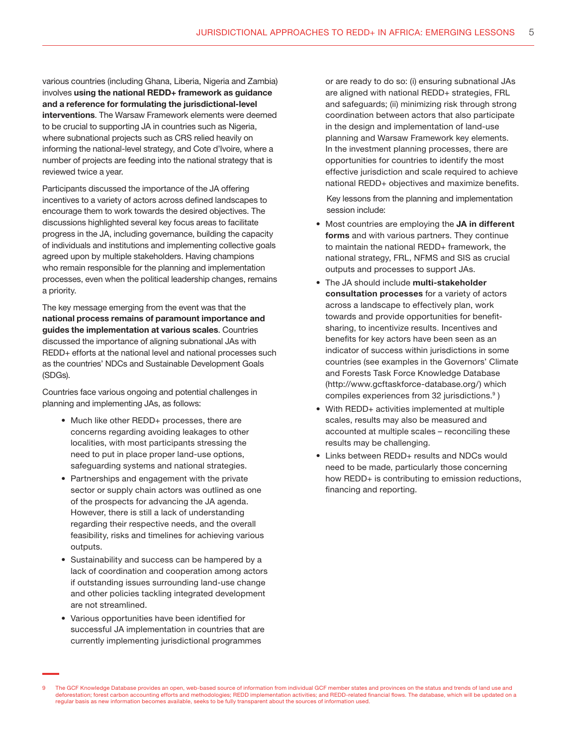various countries (including Ghana, Liberia, Nigeria and Zambia) involves using the national REDD+ framework as guidance and a reference for formulating the jurisdictional-level interventions. The Warsaw Framework elements were deemed to be crucial to supporting JA in countries such as Nigeria, where subnational projects such as CRS relied heavily on informing the national-level strategy, and Cote d'Ivoire, where a number of projects are feeding into the national strategy that is reviewed twice a year.

Participants discussed the importance of the JA offering incentives to a variety of actors across defined landscapes to encourage them to work towards the desired objectives. The discussions highlighted several key focus areas to facilitate progress in the JA, including governance, building the capacity of individuals and institutions and implementing collective goals agreed upon by multiple stakeholders. Having champions who remain responsible for the planning and implementation processes, even when the political leadership changes, remains a priority.

The key message emerging from the event was that the national process remains of paramount importance and guides the implementation at various scales. Countries discussed the importance of aligning subnational JAs with REDD+ efforts at the national level and national processes such as the countries' NDCs and Sustainable Development Goals (SDGs).

Countries face various ongoing and potential challenges in planning and implementing JAs, as follows:

- Much like other REDD+ processes, there are concerns regarding avoiding leakages to other localities, with most participants stressing the need to put in place proper land-use options, safeguarding systems and national strategies.
- Partnerships and engagement with the private sector or supply chain actors was outlined as one of the prospects for advancing the JA agenda. However, there is still a lack of understanding regarding their respective needs, and the overall feasibility, risks and timelines for achieving various outputs.
- Sustainability and success can be hampered by a lack of coordination and cooperation among actors if outstanding issues surrounding land-use change and other policies tackling integrated development are not streamlined.
- Various opportunities have been identified for successful JA implementation in countries that are currently implementing jurisdictional programmes

or are ready to do so: (i) ensuring subnational JAs are aligned with national REDD+ strategies, FRL and safeguards; (ii) minimizing risk through strong coordination between actors that also participate in the design and implementation of land-use planning and Warsaw Framework key elements. In the investment planning processes, there are opportunities for countries to identify the most effective jurisdiction and scale required to achieve national REDD+ objectives and maximize benefits.

Key lessons from the planning and implementation session include:

- Most countries are employing the JA in different forms and with various partners. They continue to maintain the national REDD+ framework, the national strategy, FRL, NFMS and SIS as crucial outputs and processes to support JAs.
- The JA should include multi-stakeholder consultation processes for a variety of actors across a landscape to effectively plan, work towards and provide opportunities for benefitsharing, to incentivize results. Incentives and benefits for key actors have been seen as an indicator of success within jurisdictions in some countries (see examples in the Governors' Climate and Forests Task Force Knowledge Database (http://www.gcftaskforce-database.org/) which compiles experiences from 32 jurisdictions.<sup>9</sup>)
- With REDD+ activities implemented at multiple scales, results may also be measured and accounted at multiple scales – reconciling these results may be challenging.
- Links between REDD+ results and NDCs would need to be made, particularly those concerning how REDD+ is contributing to emission reductions, financing and reporting.

The GCF Knowledge Database provides an open, web-based source of information from individual GCF member states and provinces on the status and trends of land use and deforestation; forest carbon accounting efforts and methodologies; REDD implementation activities; and REDD-related financial flows. The database, which will be updated on a regular basis as new information becomes available, seeks to be fully transparent about the sources of information used.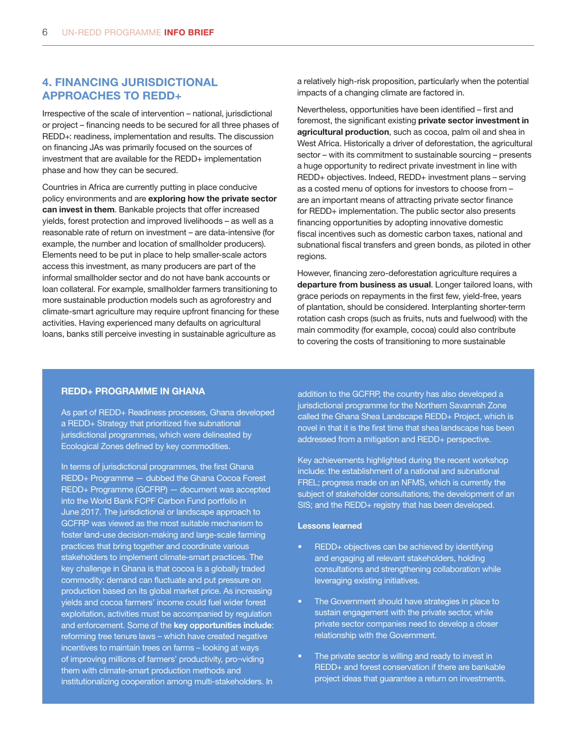# 4. FINANCING JURISDICTIONAL APPROACHES TO REDD+

Irrespective of the scale of intervention – national, jurisdictional or project – financing needs to be secured for all three phases of REDD+: readiness, implementation and results. The discussion on financing JAs was primarily focused on the sources of investment that are available for the REDD+ implementation phase and how they can be secured.

Countries in Africa are currently putting in place conducive policy environments and are exploring how the private sector can invest in them. Bankable projects that offer increased yields, forest protection and improved livelihoods – as well as a reasonable rate of return on investment – are data-intensive (for example, the number and location of smallholder producers). Elements need to be put in place to help smaller-scale actors access this investment, as many producers are part of the informal smallholder sector and do not have bank accounts or loan collateral. For example, smallholder farmers transitioning to more sustainable production models such as agroforestry and climate-smart agriculture may require upfront financing for these activities. Having experienced many defaults on agricultural loans, banks still perceive investing in sustainable agriculture as

a relatively high-risk proposition, particularly when the potential impacts of a changing climate are factored in.

Nevertheless, opportunities have been identified – first and foremost, the significant existing **private sector investment in** agricultural production, such as cocoa, palm oil and shea in West Africa. Historically a driver of deforestation, the agricultural sector – with its commitment to sustainable sourcing – presents a huge opportunity to redirect private investment in line with REDD+ objectives. Indeed, REDD+ investment plans – serving as a costed menu of options for investors to choose from – are an important means of attracting private sector finance for REDD+ implementation. The public sector also presents financing opportunities by adopting innovative domestic fiscal incentives such as domestic carbon taxes, national and subnational fiscal transfers and green bonds, as piloted in other regions.

However, financing zero-deforestation agriculture requires a departure from business as usual. Longer tailored loans, with grace periods on repayments in the first few, yield-free, years of plantation, should be considered. Interplanting shorter-term rotation cash crops (such as fruits, nuts and fuelwood) with the main commodity (for example, cocoa) could also contribute to covering the costs of transitioning to more sustainable

#### REDD+ PROGRAMME IN GHANA

As part of REDD+ Readiness processes, Ghana developed a REDD+ Strategy that prioritized five subnational jurisdictional programmes, which were delineated by Ecological Zones defined by key commodities.

In terms of jurisdictional programmes, the first Ghana REDD+ Programme - dubbed the Ghana Cocoa Forest REDD+ Programme (GCFRP) — document was accepted into the World Bank FCPF Carbon Fund portfolio in June 2017. The jurisdictional or landscape approach to GCFRP was viewed as the most suitable mechanism to foster land-use decision-making and large-scale farming practices that bring together and coordinate various stakeholders to implement climate-smart practices. The key challenge in Ghana is that cocoa is a globally traded commodity: demand can fluctuate and put pressure on production based on its global market price. As increasing yields and cocoa farmers' income could fuel wider forest exploitation, activities must be accompanied by regulation and enforcement. Some of the key opportunities include: reforming tree tenure laws – which have created negative incentives to maintain trees on farms – looking at ways of improving millions of farmers' productivity, pro¬viding them with climate-smart production methods and institutionalizing cooperation among multi-stakeholders. In

addition to the GCFRP, the country has also developed a jurisdictional programme for the Northern Savannah Zone called the Ghana Shea Landscape REDD+ Project, which is novel in that it is the first time that shea landscape has been addressed from a mitigation and REDD+ perspective.

Key achievements highlighted during the recent workshop include: the establishment of a national and subnational FREL; progress made on an NFMS, which is currently the subject of stakeholder consultations; the development of an SIS; and the REDD+ registry that has been developed.

#### Lessons learned

- REDD+ objectives can be achieved by identifying and engaging all relevant stakeholders, holding consultations and strengthening collaboration while leveraging existing initiatives.
- The Government should have strategies in place to sustain engagement with the private sector, while private sector companies need to develop a closer relationship with the Government.
- The private sector is willing and ready to invest in REDD+ and forest conservation if there are bankable project ideas that guarantee a return on investments.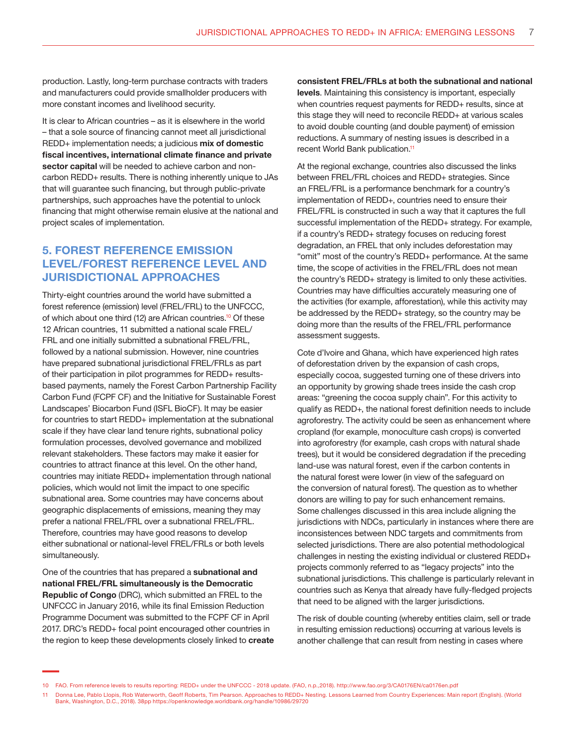production. Lastly, long-term purchase contracts with traders and manufacturers could provide smallholder producers with more constant incomes and livelihood security.

It is clear to African countries – as it is elsewhere in the world – that a sole source of financing cannot meet all jurisdictional REDD+ implementation needs; a judicious mix of domestic fiscal incentives, international climate finance and private sector capital will be needed to achieve carbon and noncarbon REDD+ results. There is nothing inherently unique to JAs that will guarantee such financing, but through public-private partnerships, such approaches have the potential to unlock financing that might otherwise remain elusive at the national and project scales of implementation.

# 5. FOREST REFERENCE EMISSION LEVEL/FOREST REFERENCE LEVEL AND JURISDICTIONAL APPROACHES

Thirty-eight countries around the world have submitted a forest reference (emission) level (FREL/FRL) to the UNFCCC, of which about one third (12) are African countries.<sup>10</sup> Of these 12 African countries, 11 submitted a national scale FREL/ FRL and one initially submitted a subnational FREL/FRL, followed by a national submission. However, nine countries have prepared subnational jurisdictional FREL/FRLs as part of their participation in pilot programmes for REDD+ resultsbased payments, namely the Forest Carbon Partnership Facility Carbon Fund (FCPF CF) and the Initiative for Sustainable Forest Landscapes' Biocarbon Fund (ISFL BioCF). It may be easier for countries to start REDD+ implementation at the subnational scale if they have clear land tenure rights, subnational policy formulation processes, devolved governance and mobilized relevant stakeholders. These factors may make it easier for countries to attract finance at this level. On the other hand, countries may initiate REDD+ implementation through national policies, which would not limit the impact to one specific subnational area. Some countries may have concerns about geographic displacements of emissions, meaning they may prefer a national FREL/FRL over a subnational FREL/FRL. Therefore, countries may have good reasons to develop either subnational or national-level FREL/FRLs or both levels simultaneously.

One of the countries that has prepared a subnational and national FREL/FRL simultaneously is the Democratic Republic of Congo (DRC), which submitted an FREL to the UNFCCC in January 2016, while its final Emission Reduction Programme Document was submitted to the FCPF CF in April 2017. DRC's REDD+ focal point encouraged other countries in the region to keep these developments closely linked to create

consistent FREL/FRLs at both the subnational and national levels. Maintaining this consistency is important, especially when countries request payments for REDD+ results, since at this stage they will need to reconcile REDD+ at various scales to avoid double counting (and double payment) of emission reductions. A summary of nesting issues is described in a recent World Bank publication.<sup>11</sup>

At the regional exchange, countries also discussed the links between FREL/FRL choices and REDD+ strategies. Since an FREL/FRL is a performance benchmark for a country's implementation of REDD+, countries need to ensure their FREL/FRL is constructed in such a way that it captures the full successful implementation of the REDD+ strategy. For example, if a country's REDD+ strategy focuses on reducing forest degradation, an FREL that only includes deforestation may "omit" most of the country's REDD+ performance. At the same time, the scope of activities in the FREL/FRL does not mean the country's REDD+ strategy is limited to only these activities. Countries may have difficulties accurately measuring one of the activities (for example, afforestation), while this activity may be addressed by the REDD+ strategy, so the country may be doing more than the results of the FREL/FRL performance assessment suggests.

Cote d'Ivoire and Ghana, which have experienced high rates of deforestation driven by the expansion of cash crops, especially cocoa, suggested turning one of these drivers into an opportunity by growing shade trees inside the cash crop areas: "greening the cocoa supply chain". For this activity to qualify as REDD+, the national forest definition needs to include agroforestry. The activity could be seen as enhancement where cropland (for example, monoculture cash crops) is converted into agroforestry (for example, cash crops with natural shade trees), but it would be considered degradation if the preceding land-use was natural forest, even if the carbon contents in the natural forest were lower (in view of the safeguard on the conversion of natural forest). The question as to whether donors are willing to pay for such enhancement remains. Some challenges discussed in this area include aligning the jurisdictions with NDCs, particularly in instances where there are inconsistences between NDC targets and commitments from selected jurisdictions. There are also potential methodological challenges in nesting the existing individual or clustered REDD+ projects commonly referred to as "legacy projects" into the subnational jurisdictions. This challenge is particularly relevant in countries such as Kenya that already have fully-fledged projects that need to be aligned with the larger jurisdictions.

The risk of double counting (whereby entities claim, sell or trade in resulting emission reductions) occurring at various levels is another challenge that can result from nesting in cases where

<sup>10</sup> FAO. From reference levels to results reporting: REDD+ under the UNFCCC - 2018 update. (FAO, n.p.,2018). http://www.fao.org/3/CA0176EN/ca0176en.pdf

<sup>11</sup> Donna Lee, Pablo Llopis, Rob Waterworth, Geoff Roberts, Tim Pearson. Approaches to REDD+ Nesting. Lessons Learned from Country Experiences: Main report (English). (World Bank, Washington, D.C., 2018). 38pp https://openknowledge.worldbank.org/handle/10986/29720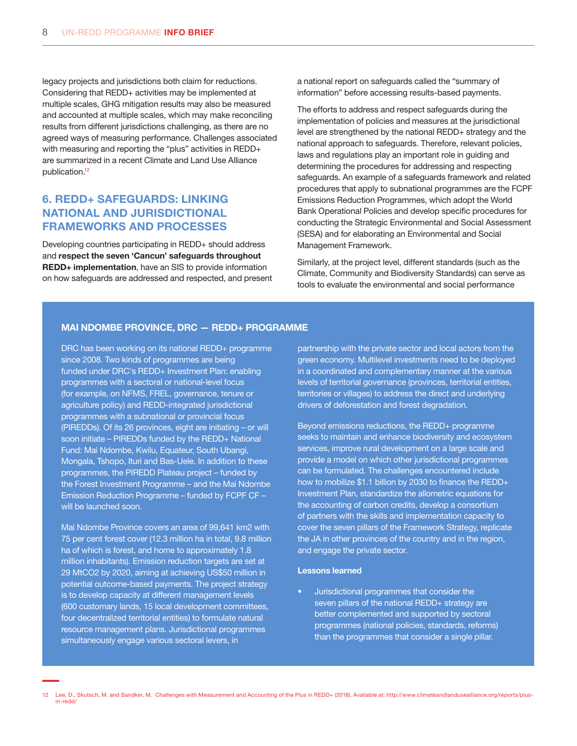legacy projects and jurisdictions both claim for reductions. Considering that REDD+ activities may be implemented at multiple scales, GHG mitigation results may also be measured and accounted at multiple scales, which may make reconciling results from different jurisdictions challenging, as there are no agreed ways of measuring performance. Challenges associated with measuring and reporting the "plus" activities in REDD+ are summarized in a recent Climate and Land Use Alliance publication.<sup>12</sup>

# 6. REDD+ SAFEGUARDS: LINKING NATIONAL AND JURISDICTIONAL FRAMEWORKS AND PROCESSES

Developing countries participating in REDD+ should address and respect the seven 'Cancun' safeguards throughout REDD+ implementation, have an SIS to provide information on how safeguards are addressed and respected, and present a national report on safeguards called the "summary of information" before accessing results-based payments.

The efforts to address and respect safeguards during the implementation of policies and measures at the jurisdictional level are strengthened by the national REDD+ strategy and the national approach to safeguards. Therefore, relevant policies, laws and regulations play an important role in guiding and determining the procedures for addressing and respecting safeguards. An example of a safeguards framework and related procedures that apply to subnational programmes are the FCPF Emissions Reduction Programmes, which adopt the World Bank Operational Policies and develop specific procedures for conducting the Strategic Environmental and Social Assessment (SESA) and for elaborating an Environmental and Social Management Framework.

Similarly, at the project level, different standards (such as the Climate, Community and Biodiversity Standards) can serve as tools to evaluate the environmental and social performance

#### MAI NDOMBE PROVINCE, DRC — REDD+ PROGRAMME

DRC has been working on its national REDD+ programme since 2008. Two kinds of programmes are being funded under DRC's REDD+ Investment Plan: enabling programmes with a sectoral or national-level focus (for example, on NFMS, FREL, governance, tenure or agriculture policy) and REDD-integrated jurisdictional programmes with a subnational or provincial focus (PIREDDs). Of its 26 provinces, eight are initiating – or will soon initiate – PIREDDs funded by the REDD+ National Fund: Mai Ndombe, Kwilu, Equateur, South Ubangi, Mongala, Tshopo, Ituri and Bas-Uele. In addition to these programmes, the PIREDD Plateau project – funded by the Forest Investment Programme – and the Mai Ndombe Emission Reduction Programme – funded by FCPF CF – will be launched soon.

Mai Ndombe Province covers an area of 99,641 km2 with 75 per cent forest cover (12.3 million ha in total, 9.8 million ha of which is forest, and home to approximately 1.8 million inhabitants). Emission reduction targets are set at 29 MtCO2 by 2020, aiming at achieving US\$50 million in potential outcome-based payments. The project strategy is to develop capacity at different management levels (600 customary lands, 15 local development committees, four decentralized territorial entities) to formulate natural resource management plans. Jurisdictional programmes simultaneously engage various sectoral levers, in

partnership with the private sector and local actors from the green economy. Multilevel investments need to be deployed in a coordinated and complementary manner at the various levels of territorial governance (provinces, territorial entities, territories or villages) to address the direct and underlying drivers of deforestation and forest degradation.

Beyond emissions reductions, the REDD+ programme seeks to maintain and enhance biodiversity and ecosystem services, improve rural development on a large scale and provide a model on which other jurisdictional programmes can be formulated. The challenges encountered include how to mobilize \$1.1 billion by 2030 to finance the REDD+ Investment Plan, standardize the allometric equations for the accounting of carbon credits, develop a consortium of partners with the skills and implementation capacity to cover the seven pillars of the Framework Strategy, replicate the JA in other provinces of the country and in the region, and engage the private sector.

#### Lessons learned

• Jurisdictional programmes that consider the seven pillars of the national REDD+ strategy are better complemented and supported by sectoral programmes (national policies, standards, reforms) than the programmes that consider a single pillar.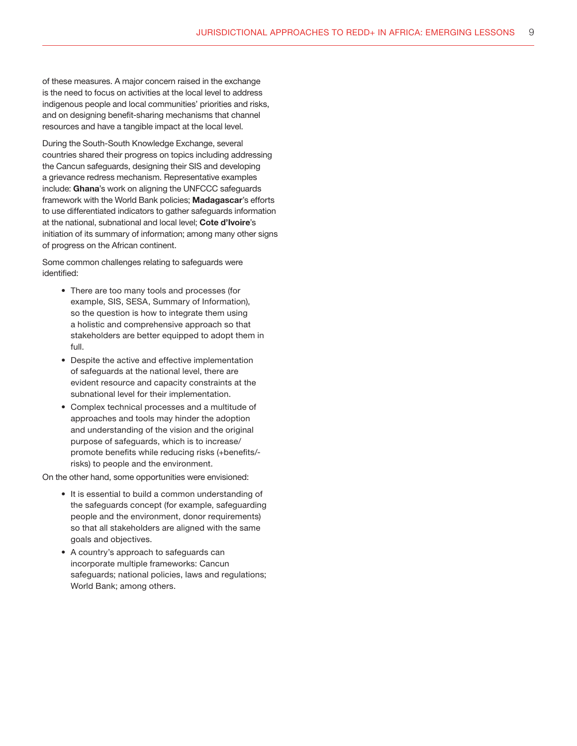of these measures. A major concern raised in the exchange is the need to focus on activities at the local level to address indigenous people and local communities' priorities and risks, and on designing benefit-sharing mechanisms that channel resources and have a tangible impact at the local level.

During the South-South Knowledge Exchange, several countries shared their progress on topics including addressing the Cancun safeguards, designing their SIS and developing a grievance redress mechanism. Representative examples include: Ghana's work on aligning the UNFCCC safeguards framework with the World Bank policies; Madagascar's efforts to use differentiated indicators to gather safeguards information at the national, subnational and local level; Cote d'Ivoire's initiation of its summary of information; among many other signs of progress on the African continent.

Some common challenges relating to safeguards were identified:

- There are too many tools and processes (for example, SIS, SESA, Summary of Information), so the question is how to integrate them using a holistic and comprehensive approach so that stakeholders are better equipped to adopt them in full.
- Despite the active and effective implementation of safeguards at the national level, there are evident resource and capacity constraints at the subnational level for their implementation.
- Complex technical processes and a multitude of approaches and tools may hinder the adoption and understanding of the vision and the original purpose of safeguards, which is to increase/ promote benefits while reducing risks (+benefits/ risks) to people and the environment.

On the other hand, some opportunities were envisioned:

- It is essential to build a common understanding of the safeguards concept (for example, safeguarding people and the environment, donor requirements) so that all stakeholders are aligned with the same goals and objectives.
- A country's approach to safeguards can incorporate multiple frameworks: Cancun safeguards; national policies, laws and regulations; World Bank; among others.